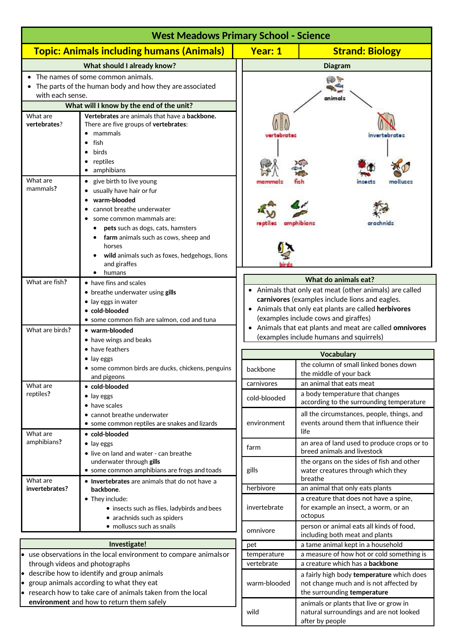| <b>West Meadows Primary School - Science</b>                                                                                                                           |                                                                                                                                                                                                                                                                                          |                                                                                                                                                                                                                                                                                                                                         |                                                                                                                    |  |  |
|------------------------------------------------------------------------------------------------------------------------------------------------------------------------|------------------------------------------------------------------------------------------------------------------------------------------------------------------------------------------------------------------------------------------------------------------------------------------|-----------------------------------------------------------------------------------------------------------------------------------------------------------------------------------------------------------------------------------------------------------------------------------------------------------------------------------------|--------------------------------------------------------------------------------------------------------------------|--|--|
|                                                                                                                                                                        | <b>Topic: Animals including humans (Animals)</b>                                                                                                                                                                                                                                         | <b>Year: 1</b>                                                                                                                                                                                                                                                                                                                          | <b>Strand: Biology</b>                                                                                             |  |  |
|                                                                                                                                                                        | <b>What should I already know?</b>                                                                                                                                                                                                                                                       |                                                                                                                                                                                                                                                                                                                                         | <b>Diagram</b>                                                                                                     |  |  |
| The names of some common animals.<br>The parts of the human body and how they are associated<br>with each sense.                                                       |                                                                                                                                                                                                                                                                                          |                                                                                                                                                                                                                                                                                                                                         | animals                                                                                                            |  |  |
|                                                                                                                                                                        | What will I know by the end of the unit?                                                                                                                                                                                                                                                 |                                                                                                                                                                                                                                                                                                                                         |                                                                                                                    |  |  |
| What are<br>vertebrates?                                                                                                                                               | Vertebrates are animals that have a backbone.<br>There are five groups of vertebrates:<br>• mammals<br>fish<br>birds<br>reptiles<br>• amphibians                                                                                                                                         | vertebrate:                                                                                                                                                                                                                                                                                                                             | invertebrates                                                                                                      |  |  |
| What are<br>mammals?                                                                                                                                                   | • give birth to live young<br>• usually have hair or fur<br>warm-blooded<br>cannot breathe underwater<br>some common mammals are:<br>pets such as dogs, cats, hamsters<br>farm animals such as cows, sheep and<br>horses<br>wild animals such as foxes, hedgehogs, lions<br>and giraffes |                                                                                                                                                                                                                                                                                                                                         |                                                                                                                    |  |  |
| What are fish?                                                                                                                                                         | humans<br>• have fins and scales                                                                                                                                                                                                                                                         | What do animals eat?<br>• Animals that only eat meat (other animals) are called<br>carnivores (examples include lions and eagles.<br>• Animals that only eat plants are called herbivores<br>(examples include cows and giraffes)<br>• Animals that eat plants and meat are called omnivores<br>(examples include humans and squirrels) |                                                                                                                    |  |  |
| What are birds?                                                                                                                                                        | • breathe underwater using gills<br>• lay eggs in water<br>• cold-blooded<br>• some common fish are salmon, cod and tuna<br>• warm-blooded<br>• have wings and beaks                                                                                                                     |                                                                                                                                                                                                                                                                                                                                         |                                                                                                                    |  |  |
|                                                                                                                                                                        | • have feathers                                                                                                                                                                                                                                                                          |                                                                                                                                                                                                                                                                                                                                         |                                                                                                                    |  |  |
|                                                                                                                                                                        | $\bullet$ lay eggs<br>some common birds are ducks, chickens, penguins<br>and pigeons                                                                                                                                                                                                     | backbone                                                                                                                                                                                                                                                                                                                                | <b>Vocabulary</b><br>the column of small linked bones down<br>the middle of your back                              |  |  |
| What are                                                                                                                                                               | • cold-blooded                                                                                                                                                                                                                                                                           | carnivores                                                                                                                                                                                                                                                                                                                              | an animal that eats meat                                                                                           |  |  |
| reptiles?                                                                                                                                                              | $\bullet$ lay eggs<br>• have scales                                                                                                                                                                                                                                                      | cold-blooded                                                                                                                                                                                                                                                                                                                            | a body temperature that changes<br>according to the surrounding temperature                                        |  |  |
| What are                                                                                                                                                               | • cannot breathe underwater<br>• some common reptiles are snakes and lizards<br>• cold-blooded                                                                                                                                                                                           | environment                                                                                                                                                                                                                                                                                                                             | all the circumstances, people, things, and<br>events around them that influence their<br>life                      |  |  |
| amphibians?                                                                                                                                                            | $\bullet$ lay eggs<br>• live on land and water - can breathe                                                                                                                                                                                                                             | farm                                                                                                                                                                                                                                                                                                                                    | an area of land used to produce crops or to<br>breed animals and livestock                                         |  |  |
| What are                                                                                                                                                               | underwater through gills<br>• some common amphibians are frogs and toads<br>• Invertebrates are animals that do not have a                                                                                                                                                               | gills                                                                                                                                                                                                                                                                                                                                   | the organs on the sides of fish and other<br>water creatures through which they<br>breathe                         |  |  |
| invertebrates?                                                                                                                                                         | backbone.                                                                                                                                                                                                                                                                                | herbivore                                                                                                                                                                                                                                                                                                                               | an animal that only eats plants                                                                                    |  |  |
|                                                                                                                                                                        | • They include:<br>• insects such as flies, ladybirds and bees<br>• arachnids such as spiders                                                                                                                                                                                            | invertebrate                                                                                                                                                                                                                                                                                                                            | a creature that does not have a spine,<br>for example an insect, a worm, or an<br>octopus                          |  |  |
|                                                                                                                                                                        | · molluscs such as snails                                                                                                                                                                                                                                                                | omnivore                                                                                                                                                                                                                                                                                                                                | person or animal eats all kinds of food,<br>including both meat and plants                                         |  |  |
| Investigate!                                                                                                                                                           |                                                                                                                                                                                                                                                                                          | pet                                                                                                                                                                                                                                                                                                                                     | a tame animal kept in a household                                                                                  |  |  |
| use observations in the local environment to compare animals or<br>through videos and photographs                                                                      |                                                                                                                                                                                                                                                                                          | temperature<br>vertebrate                                                                                                                                                                                                                                                                                                               | a measure of how hot or cold something is<br>a creature which has a backbone                                       |  |  |
| describe how to identify and group animals<br>$\bullet$<br>group animals according to what they eat<br>research how to take care of animals taken from the local<br>l. |                                                                                                                                                                                                                                                                                          | warm-blooded                                                                                                                                                                                                                                                                                                                            | a fairly high body temperature which does<br>not change much and is not affected by<br>the surrounding temperature |  |  |
|                                                                                                                                                                        | environment and how to return them safely                                                                                                                                                                                                                                                | wild                                                                                                                                                                                                                                                                                                                                    | animals or plants that live or grow in<br>natural surroundings and are not looked                                  |  |  |

after by people